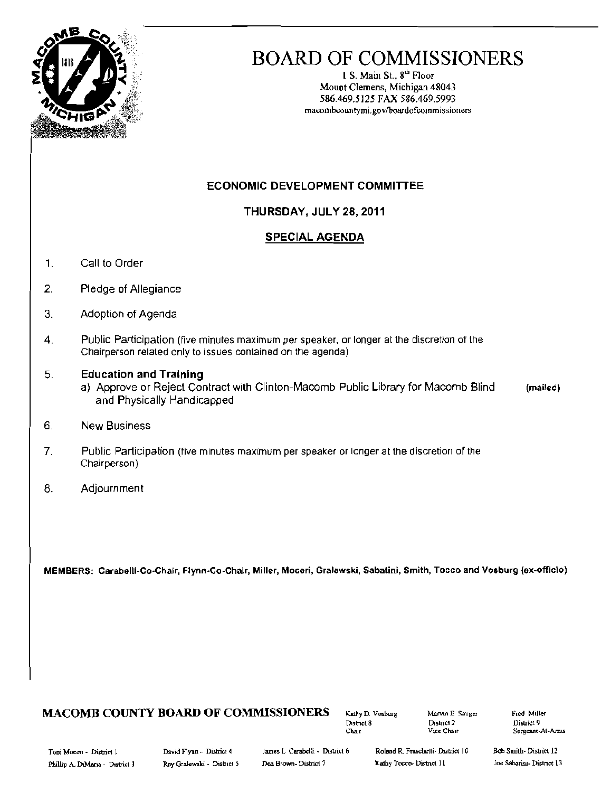

# BOARD OF COMMISSIONERS

1 S. Main St.,  $8<sup>th</sup>$  Floor Mount Clemens, Michigan 48043 586.469.5125 FAX 586.469.5993 maeombeountymi.gov/boardofcommissioners

#### ECONOMIC DEVELOPMENT COMMITTEE

THURSDAY, JULY 28, 2011

#### SPECIAL AGENDA

- 1. Call to Order
- 2. Pledge of Allegiance
- 3. Adoption of Agenda
- 4. Public Participation (five minutes maximum per speaker, or longer at the discretion of the Chairperson related only to issues contained on the agenda)

#### 5 Education and Training

- a) Approve or Reject Contract with Clinton-Macomb Public Library for Macomb Blind (mailed) and Physically Handicapped
- 6. New Business
- 7. Public Participation (five minutes maximum per speaker or longer at the discretion of the Chairperson)
- 8. Adjournment

MEMBERS: Carabelli-Co-Chair, Flynn-Co-Chair, Miller, Moceri, Gralew\$ki, Sabatini, Smith, Tocco and Vosburg (ex-officio)

# MACOMB COUNTY BOARD OF COMMISSIONERS Kathy D. Vosburg Marvin E Sauger Fred Miller<br>District 9

Printer 8 District 2 District 8 District 9 District 9 District 9 District 9 District 9 District 9 District 9 D

Sergeant-AI-Amis

Toni Mocen - District 1 lillier. District 4 lames L. Carabelli - District 6 Roland R. Fraschetti- District 10

Bob Smith-District 12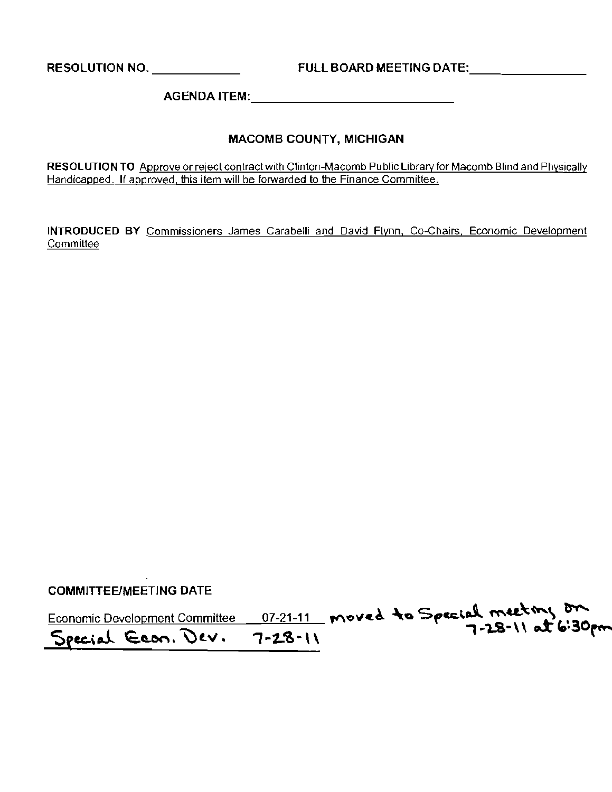RESOLUTION NO. \_ FULL BOARD MEETING DATE: \_

AGENDA ITEM: \_

#### MACOMB COUNTY, MICHIGAN

**RESOLUTION TO** Approve or reject contract with Clinton-Macomb Public Libraryfor Macomb Blind and Physically Handicapped. **If** approved, this item will be forwarded to the Finance Committee.

**INTRODUCED BY** Commissioners James Carabelli and David Flynn, Co-Chairs. Economic Development **Committee** 

COMMITTEE/MEETING DATE

Economic Development Committee 07-21-11 moved to Special meeting on Special Econ. Dev. 7-28-11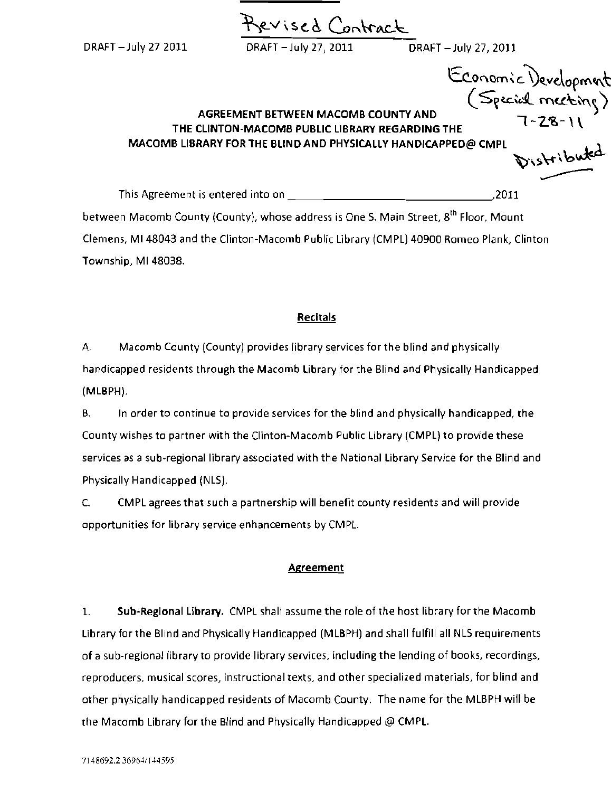Prevised Contract DRAfT -July 272011 DRAfT -July 27, 2011 DRAFT -July 27, 2011 Economic Development  $($  Special meeting)

## AGREEMENT BETWEEN MACOMB COUNTY AND , באשראים AGREEMENT BETWEEN MACOMB COUNTY AND<br>THE CLINTON-MACOMB PUBLIC LIBRARY REGARDING THE MACOMB LIBRARY FOR THE BLIND AND PHYSICALLY HANDICAPPED@ CMPL

 $\overbrace{ }$ <sub>1</sub> This Agreement is entered into on ~12011 between Macomb County (County), whose address is One S. Main Street, 8<sup>th</sup> Floor, Mount Clemens, MI48043 and the Clinton-Macomb Public Library (CMPL) 40900 Romeo Plank, Clinton Township, MI 48038.

#### Recitals

A. Macomb County (County) provides library services for the blind and physically handicapped residents through the Macomb library for the Blind and Physically Handicapped (MLBPH).

B. In order to continue to provide services for the blind and physically handicapped, the County wishes to partner with the Clinton-Macomb Public Library (CMPL) to provide these services as a sub-regional library associated with the National Library Service for the Blind and Physically Handicapped (NLS).

C. CMPL agrees that such a partnership will benefit county residents and will provide opportunities for library service enhancements by CMPL.

#### Agreement

1. Sub-Regional Library. CMPL shall assume the role of the host library for the Macomb Library for the Blind and Physically Handicapped (MLBPH) and shall fulfill all NLS requirements of a sub-regional library to provide library services, inclUding the lending of books, recordings, reproducers, musical scores, instructional texts, and other specialized materials, for blind and other physically handicapped residents of Macomb County. The name for the MLBPH will be the Macomb Library for the Blind and Physically Handicapped @ CMPL.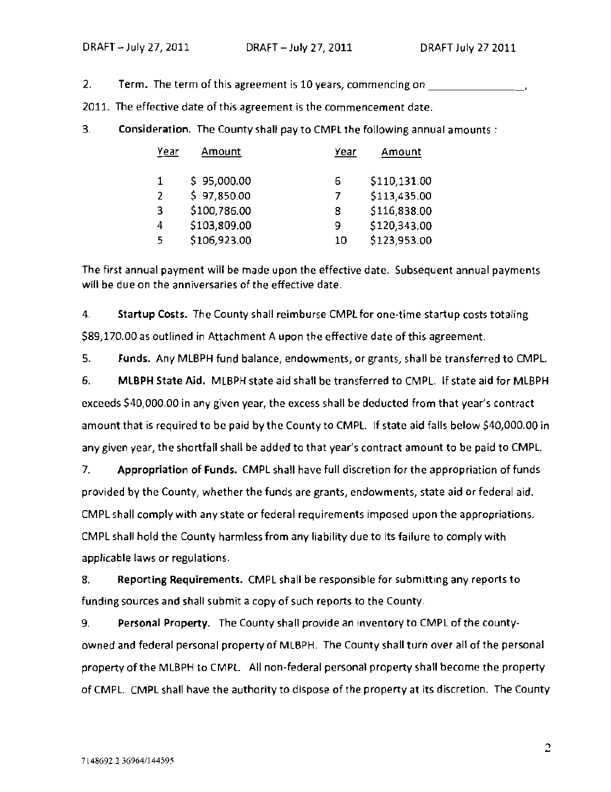2. Term. The term of this agreement is 10 years, commencing *on* \_

2011. The effective date of this agreement is the commencement date.

3. Consideration. The County shall pay to CMPL the following annual amounts:

| Year          | Amount       | Year | Amount       |
|---------------|--------------|------|--------------|
| 1             | \$95,000.00  | 6    | \$110,131.00 |
| $\mathcal{P}$ | \$97,850.00  |      | \$113,435.00 |
| 3             | \$100,786.00 | 8    | \$116,838.00 |
| 4             | \$103,809.00 | 9    | \$120,343.00 |
| 5             | \$106,923.00 | 10   | \$123,953.00 |

The first annual payment will be made upon the effective date. Subsequent annual payments will be due on the anniversaries of the effective date.

4. Startup Costs. The County shall reimburse CMPl for one-time startup costs totaling \$89,170.00 as outlined in Attachment A upon the effective date of this agreement.

5. Funds. Any MLBPH fund balance, endowments, or grants, shall be transferred to CMPL. 6. MLBPH State Aid. MLBPH state aid shall be transferred to CMPL. If state aid for MLBPH exceeds \$40,000.00 in any given year, the excess shall be deducted from that year's contract amount that is required to be paid by the County to CMPL. If state aid falls below \$40,000.00 in any given year, the shortfall shall be added to that year's contract amount to be paid to CMPL.

7. Appropriation of Funds. CMPL shall have full discretion for the appropriation of funds provided by the County, whether the funds are grants, endowments, state aid or federal aid. CM PL shall comply with any state or federal requirements imposed upon the appropriations. CMPL shall hold the County harmless from any liability due to its failure to comply with applicable laws or regulations.

8. Reporting Requirements. CMPL shall be responsible for submitting any reports to funding sources and shall submit a copy of such reports to the County.

9. Personal Property. The County shall provide an inventory to CMPL of the countyowned and federal personal property of MLBPH. The County shall turn over all of the personal property of the MLBPH to CMPL. All non-federal personal property shall become the property of CMPL. CMPl shall have the authority to dispose of the property at its discretion. The County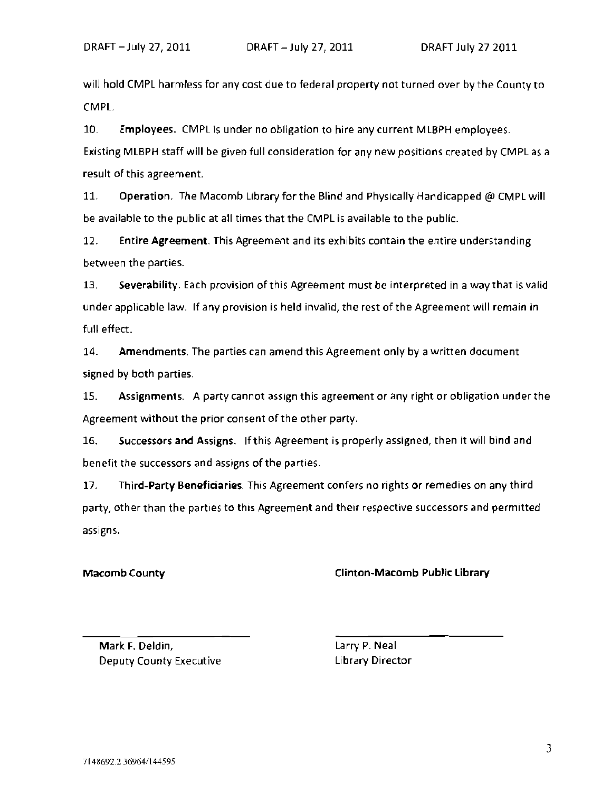will hold CMPL harmless for any cost due to federal property not turned over by the County to CMPL.

10. Employees. CMPL is under no obligation to hire any current MLBPH employees. Existing MLBPH staff will be given full consideration for any new positions created by CMPL as a result of this agreement.

11. Operation. The Macomb Library for the Blind and Physically Handicapped @ CMPL will be available to the public at all times that the CMPL is available to the public.

12. Entire Agreement. This Agreement and its exhibits contain the entire understanding between the parties.

13. Severability. Each provision of this Agreement must be interpreted in a way that is valid under applicable law. If any provision is held invalid, the rest of the Agreement will remain in full effect.

14. Amendments. The parties can amend this Agreement only by a written document signed by both parties.

15. Assignments. A party cannot assign this agreement or any right or obligation under the Agreement without the prior consent of the other party.

16. Successors and Assigns. Ifthis Agreement is properly assigned, then it will bind and benefit the successors and assigns of the parties.

17. Third-Party Beneficiaries. This Agreement confers no rights or remedies on any third party, other than the parties to this Agreement and their respective successors and permitted assigns.

#### Macomb County **Clinton-Macomb Public Library**

Mark F. Deldin, Deputy County Executive Library Director

Larry P. Neal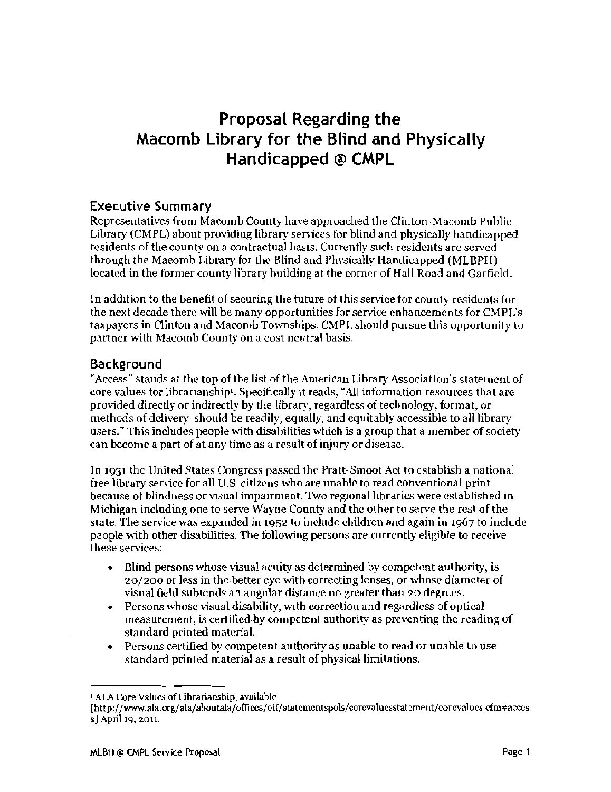# Proposal Regarding the Macomb Library for the Blind and Physically Handicapped @ CMPL

### Executive Summary

Representatives from Macomb County have approached the Clinton-Macomb Public Library (CMPL) about providing library services for blind and physically handicapped residents of the county on *a* contractual basis. Currently such residents are served through the Maeomb Library for the Blind and Physically Handicapped (MLBPH) located in the former county library building at the corner of Hall Road and Garfield.

In addition to the benefit of securing the future of this service for county residents for the next decade there will be many opportunities for service enhancements for CMPL's taxpayers in Clinton and Macomb Townships. CMPLshould pursue this opportunity to partner with Macomb County on a cost neutral basis.

#### **Background**

"Access" stands at the top of the list of the American Library Association's statement of core values for librarianship<sup>t</sup>. Specifically it reads, "All information resources that are provided directly or indirectly by the library, regardless of technology, format, or methods of delivery, should be readily, equally, and equitably accessible to all library users." This includes people with disabilities which is a group that a member of society can become a part of at any time as a result of injury or disease.

In 1931 the United States Congress passed the Pratt-Smoot Act to establish a national free library service for all U.S. citizens who are unable to read conventional print because of blindness or visual impairment. Two regional libraries were established in Michigan including one to serve Wayne County and the other to serve the rest of the state. The service was expanded in 1952 to include children and again in 1967 to include people with other disabilities. The following persons are currently eligible to receive these services:

- Blind persons whose visual acuity as determined by competent authority, is 20/200 or less in the better eye with correcting lenses, or whose diameter of visual field subtends an angular distance no greater. than 20 degrees.
- Persons whose visual disability, with correction and regardless of optical measurement, is certified-by competent authority as preventing the rcading of standard printed material.
- • Persons certified by competent authority as unable to read or unable to use standard printed material as a result of physical limitations.

<sup>1</sup>AlA Core Values of Iibrarianship, available

<sup>[</sup>http://www.ala.org/ala/aboutala/offices/oif/statementspols/corevaluesstatement/corevalues.cfm#acces 5} April 19, 2011.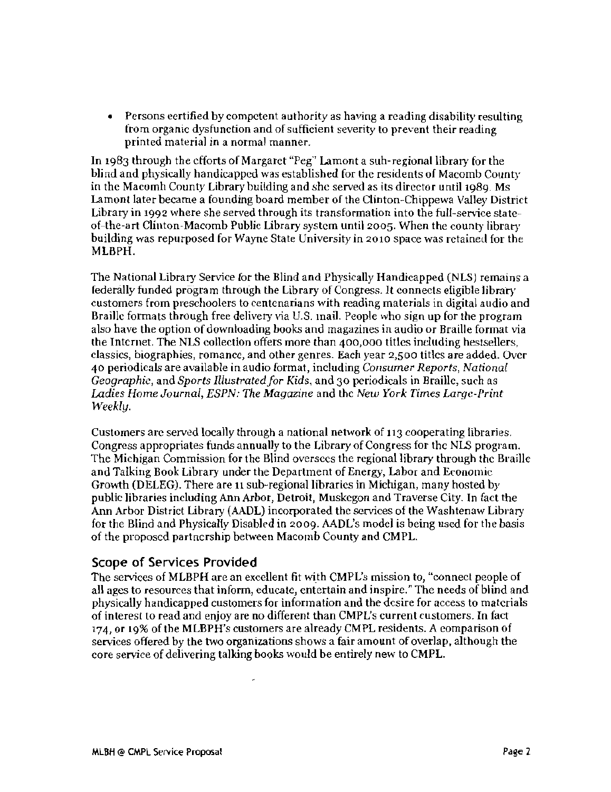• Persons certified by competent authority as having a reading disability resulting from organic dysfunction and of sufficient severity to prevent their reading printed material in a normal manner.

In 1983 through the efforts of Margaret "Peg" Lamont a suh-regional library for the blind and physically handicapped was established for the residents of Macomb County in the Macomh County Library building and she served as its director until 1989. Ms Lamont later became a founding board member of the Clinton-Chippewa Valley District Library in 1992 where she served through its transformation into the full-service stateof-the-art Clinton-Macomb Public Library system untilzo05. When the county library building was repurposed for Wayne State University in 2010 space was retained for the MLBPH.

The National Library Service for the Blind and Physically Handicapped (NLS) remains a federally funded program through the Library of Congress. 11 connects eligible libraty customers from preschoolers to centenarians with reading materials in digital audio and Braille formats through free delivery via U.S. mail. People who sign up for the program also have the option of downloading books and magazines in audio or Braille format via the Internet. The NLS collection offers more than 400,000 titles including hestsellers, classics, biographies, romancc, and other genres. Each year 2,500 titles are added. Ovcr 40 periodicals are available in audio format, including Consumer *Reports, National Geographic,* and *Sports Illustrated/or Kids,* and 30 periodicals in Braille, such as *Ladies Home Journal, ESPN: The Magazine* and the *New York Times Large-Print Weekly.* 

Customers arc served locally through a national network of 113 cooperating libraries. Congress appropriates funds annually to the Library of Congress for the NLS program. The Michigan Commission for the Blind oversees the regional library through the Braille and Talking Book Library under the Department of Energy, Labor and Economic Growth (DELEG). There are 11 sub-regional libraries in Michigan, many hosted by public libraries including Ann Arbor, Detroit, Muskegon and Traverse City. In fact the Ann Arbor District Library (AADL) incorporated the services of the Washtenaw Library for the Blind and Physically Disabled in 2009. AADL's model is being used for the basis of the proposed partnership between Macomb County and CMPL

#### Scope of Services Provided

The services of MLBPH are an excellent fit with CMPL's mission to, "connect people of all ages to resources that inform, educate, entertain and inspire." The needs of blind and physically handicapped customers for information and the desire for access to materials of interest to read and enjoy are no different than CMPL's current customers. In fact 174, or 19% of the MLBPH's customers are already CMPL residents. A comparison of services offered by the two organizations shows a fair amount of overlap, although the core service of delivering talking books would be entirely new to CMPL.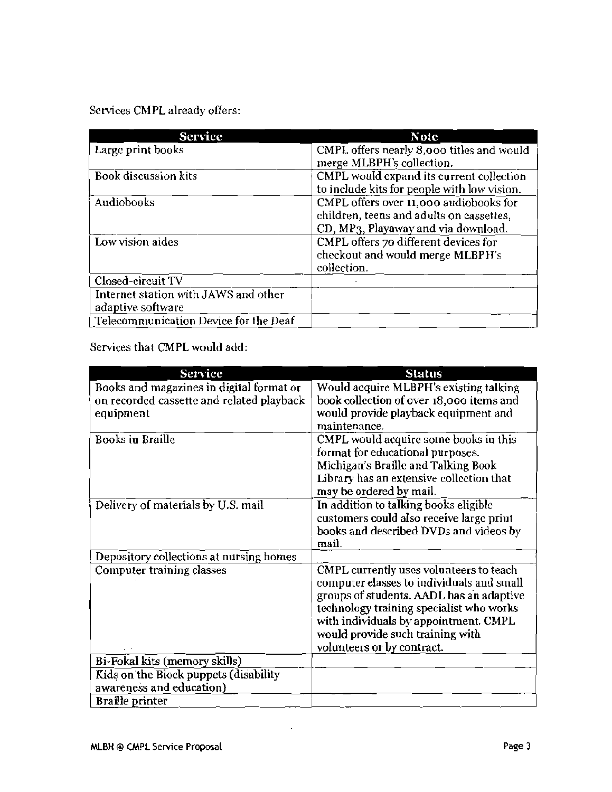Services CMPL already offers:

| <b>Service</b>                                            | <b>Note</b>                                                                                                               |
|-----------------------------------------------------------|---------------------------------------------------------------------------------------------------------------------------|
| Large print books                                         | CMPL offers nearly 8,000 titles and would<br>merge MLBPH's collection.                                                    |
| Book discussion kits                                      | CMPL would expand its current collection<br>to include kits for people with low vision.                                   |
| Audiobooks                                                | CMPL offers over 11,000 audiobooks for<br>children, teens and adults on cassettes,<br>CD, MP3, Playaway and via download. |
| Low vision aides                                          | CMPL offers 70 different devices for<br>checkout and would merge MLBPH's<br>collection.                                   |
| Closed-circuit TV                                         |                                                                                                                           |
| Internet station with JAWS and other<br>adaptive software |                                                                                                                           |
| Telecommunication Device for the Deaf                     |                                                                                                                           |

Services that CMPL would add:

| Service                                                                                            | <b>Status</b>                                                                                                                                                                                                                                                                           |
|----------------------------------------------------------------------------------------------------|-----------------------------------------------------------------------------------------------------------------------------------------------------------------------------------------------------------------------------------------------------------------------------------------|
| Books and magazines in digital format or<br>on recorded cassette and related playback<br>equipment | Would acquire MLBPH's existing talking<br>book collection of over 18,000 items and<br>would provide playback equipment and<br>maintenance.                                                                                                                                              |
| <b>Books in Braille</b>                                                                            | CMPL would acquire some books in this<br>format for educational purposes.<br>Michigan's Braille and Talking Book<br>Library has an extensive collection that<br>may be ordered by mail.                                                                                                 |
| Delivery of materials by U.S. mail                                                                 | In addition to talking books eligible<br>customers could also receive large priut<br>books and described DVDs and videos by<br>mail.                                                                                                                                                    |
| Depository collections at nursing homes                                                            |                                                                                                                                                                                                                                                                                         |
| Computer training classes                                                                          | CMPL currently uses volunteers to teach<br>computer elasses to individuals and small<br>groups of students. AADL has an adaptive<br>technology training specialist who works<br>with individuals by appointment. CMPL<br>would provide such training with<br>volunteers or by contract. |
| Bi-Fokal kits (memory skills)                                                                      |                                                                                                                                                                                                                                                                                         |
| Kids on the Block puppets (disability<br>awareness and education)                                  |                                                                                                                                                                                                                                                                                         |
| Braille printer                                                                                    |                                                                                                                                                                                                                                                                                         |

 $\sim$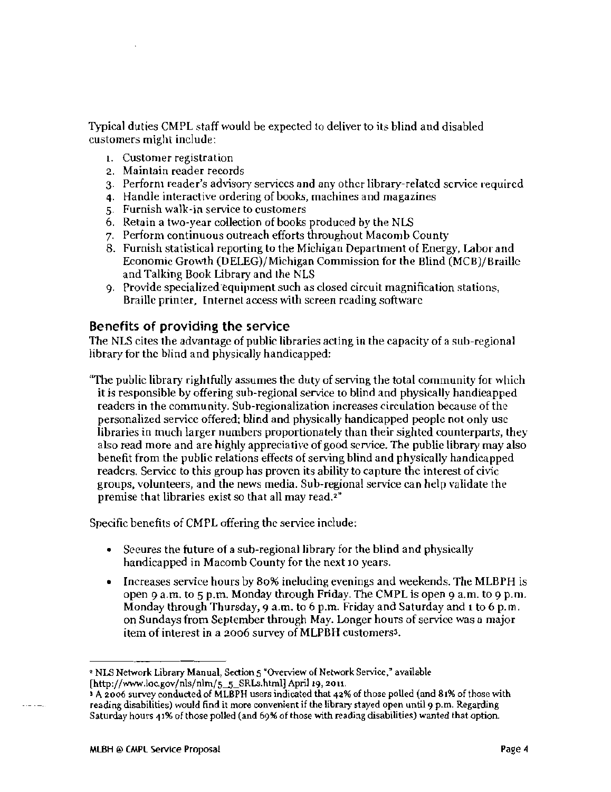Typical duties CMPL staff would be expected to deliver to its blind and disabled customers might include:

- 1. Customer registration
- 2. Maintain reader records
- 3. Perform reader's advisory services and any other library-related service required
- 4. Handle interactive ordering of books, machines and magazines
- 5. Furnish walk-in service to customers
- 6. Retain a two-year collection of books produced by the NLS
- 7. Perform continuous outreach efforts throughout Macomb County
- 8. Furnish statistical reporting to the Michigan Department of Energy, Labor and Economic Growth (DELEG)/Michigan Commission for the Blind (MCB)/Braille and Talking Book Library and the NLS
- 9. Provide specialized equipment such as closed circuit magnification stations, Braille printer, Internet access with screen reading software

### Benefits of providing the service

The NLS cites the advantage of public libraries acting in the capacity of a sub-regional library for the blind and physically handicapped:

''The public library rightfully assumes the duty of serving the total community for wllich it is responsible by offering sub-regional service to blind and physically handieapped readers in the community. Sub-regionalization increases circulation because of the personalized service offered; blind and physically handicapped people not only use libraries in much larger numbers proportionately than their sighted counterparts, they also read more and are highly appreciative of good service. The public library may also benefit from the public relations effects of serving blind and physically handicapped readers. Service to this group has proven its ability to capture the interest of civic groups, volunteers, and the news media. Sub-regional service can help validate the premise that libraries exist so that all may read.<sup>2"</sup>

Specific benefits of CMPL offering the serviee include:

- Secures the future of a sub-regional library for the blind and physically handicapped in Macomb County for the next 10 years.
- Increases service hours by 80% including evenings and weekends. The MLBPH is open 9 a.m. to 5 p.m. Monday through Friday. The CMPL is open 9 a.m. to 9 p.m. Monday through Thursday, 9 a.m. to 6 p.m. Friday and Saturday and 1 to 6 p. m. on Sundays from September through May. Longer hours of service was a major item of interest in a 2006 survey of MLPBH customers<sup>3</sup>.

. . . . . . .

<sup>2</sup> NLS Network Library Manual, Section 5 "Overview of Network Service," available [http://www.loc.gov/nls/nlm/S-5\_SRLs.html] ApriJ 19, 2011.

 $\frac{1}{2}$  A 2006 survey conducted of MLBPH users indicated that 42% of those polled (and 81% of those with reading disabilities) would find it more convenient if the library stayed open until 9 p.m. Regarding Saturday hours 41% of those polled (and 69% of those with reading disabilities) wanted that option.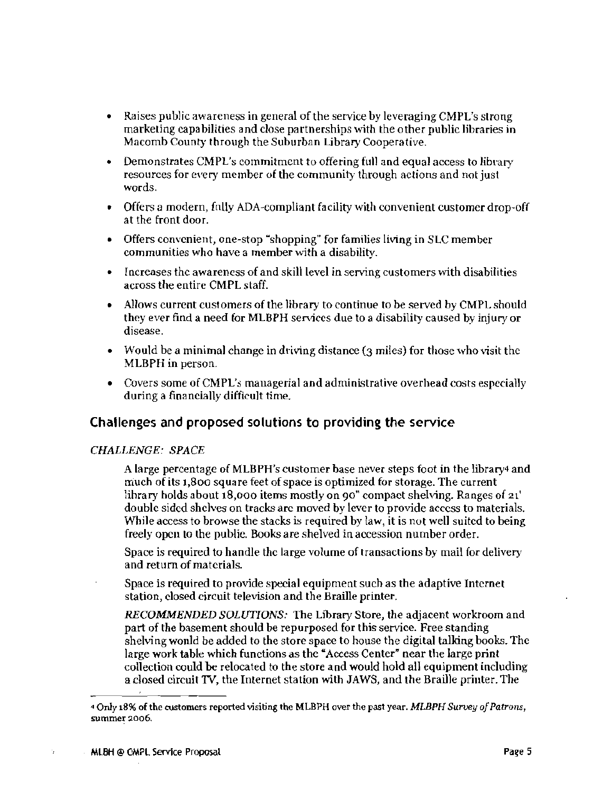- Raises public awareness in general of the service by leveraging CMPL's strong marketing capabilities and close partnerships \..rith the other public libraries in Macomb County through the Suburban Library Cooperative.
- • Demonstrates CMPL's commitment to offering full and equal access to library resources for every member of the community through actions and not just words.
- Offers a modern, fnlly ADA-compliant facility with convenient customer drop-off at the front door.
- Offers convenient, one-stop "shopping" for families living in SLC member communities who have a member with a disability.
- • Increases the awareness of and skill level in serving customers with disabilities across the entire CMPL staff.
- Allows current customers of the library to continue to be served by CMPL should they ever find a need for MLBPH services due to a disability caused by injury or disease.
- Would be a minimal change in driving distance  $(3 \text{ miles})$  for those who visit the MLBPH in person.
- Covers some of CMPL's managerial and administrative overhead costs especially during a financially difficult time.

### Challenges and proposed solutions to providing the service

#### *CHALLENGE: SPACE*

A large percentage of MLBPH's customer base never steps foot in the library4 and rriuch of its 1,800 square feet of space is optimized for storage. The current lihrary holds about 18,000 items mostly on 90" compact shelving. Ranges of 21' double sided shelves on tracks are moved by lever to provide access to materials. While access to browse the stacks is required by law, it is not well suited to being freely open to the public. Books are shelved in accession number order.

Space is required to handle the large volume of transactions by mail for delivery and return of materials.

Space is required to provide special equipment such as the adaptive Internet station, closed circuit television and the Braille printer.

*RECOMMENDED SOLUTIONS:* The Library Store, the adjacent workroom and part of the basement should be repurposed for this service. Free standing shelving wonld be added to the store space to house the digital talking books. The large work table which functions as the"*Access* Center" near the large print collection could be relocated to the store and would hold all equipment including a closed circuit 1V, the Internet station with JAWS, and the Braille printer. The

÷,

<sup>1</sup> Only 18% of the ClJstomers reported visiting the MLBPH over the past year. *MLBPH Survey o/Patrons,*  summer 2006.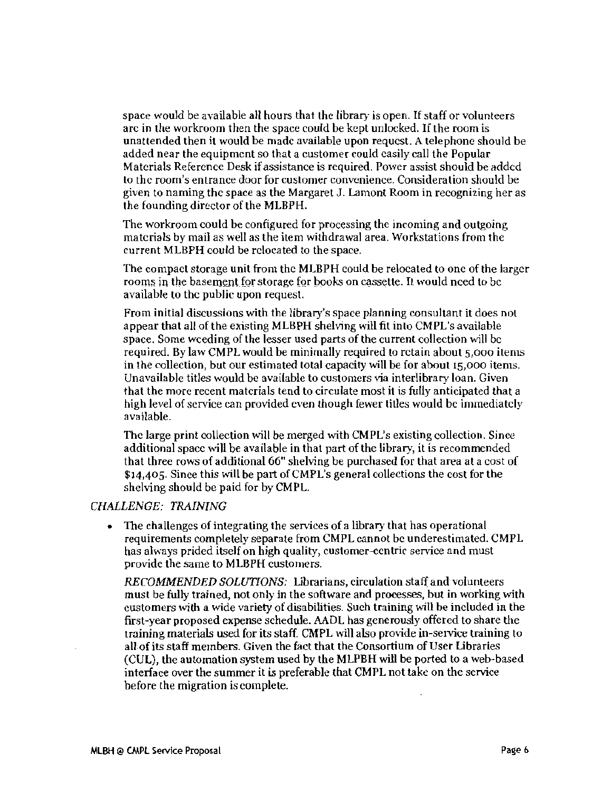space would be available all hours that the library is open. If staff or volunteers arc in the workroom then the space could be kept unlocked. If the room is unattended then it would be madc available upon requcst. A telephone should be added near the equipment so that a customer could casily call the Popular Materials Reference Desk if assistance is required. Power assist should be added to thc room's entrance door for customer convenience. Consideration should be given to naming thc space as the Margaret J. Lamont Room in recognizing her as the founding director of the MLBPH.

The workroom could be configured for processing the incoming and outgoing matcrials by mail as well as the item withdrawal area. Workstations from the current MLBPH could be relocated to the space.

The compact storage unit from thc MLBPH could be relocated to onc of the larger rooms in the basement for storage for books on cassette. It would need to be available to thc public upon request.

From initial discussions with the library's space planning consultant it does not appear that all of the existing MLBPH shelving will fit into CMPL's available space. Some weeding of the lesser used parts of the current collection will be required. By law CMPL would be minimally required to rctain about 5,000 items in the collection, but our estimated total capacity will be for about 15,000 items. Unavailable titles would be available to customers via interlibrary loan. Given that the more recent matcrials tend to circulate most it is fully anticipated that a high level of scrvice can provided even though fewer titles would be immediately available.

Thc large print collection will be merged with CMPL's existing collection. Since additional space will be available in that part of the library, it is recommended that three rows of additional 66" shelving be purchased for that area at a cost of \$14,405. Since this will be part of CMPL's general collections the cost for the shelving should be paid for by CMPL.

#### *CHALLENGE: TRAINING*

The challenges of integrating the services of a library that has operational requirements completely separate from CMPL cannot bc underestimated. CMPL has always prided itself on high quality, customer-ccntrir service and must providc the same to MLBPH customers.

*RECOMMENDED SOLUTIONS:* Ubrarians, circulation staff and volunteers must be fully trained, not only in the software and processes, but in working with customers with a wide variety of disabilities. Such training will be included in the first-year proposed expense schedule. AADL has generously offered to share the training materials used for its staff. CMPL will also provide in-service training to all ofits staff members. Given the fact that the Consortium of User Libraries (CUL), the automation system used by the MLPBH will be ported to a web-based interface over the summer it is preferable that CMPL not take on the service before the migration is complete.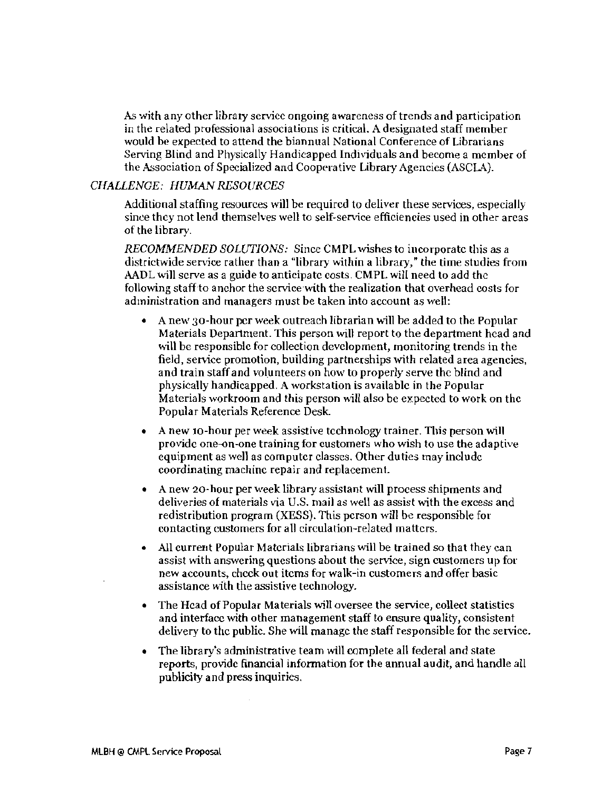As with any other library service ongoing awareness of trends and participation in the related professional associations is critical. A designated staff member would be expected to attend the biannual National Conference of Librarians Serving Blind and Physically Handicapped Indhiduals and become a member of the Association of Specialized and Cooperative Library Agencies (ASCLA).

#### CHALLENGE: HUMAN RESOURCES

Additional staffing resources will be required to deliver these services, especially since thcy not lend themselves well to self-service efficiencies used in other arcas of the library.

*RECOMMENDED SOLUTIONS:* Since CMPL wishes to incorporate this as a districtwide service rather than a "library within a library," the time studies from AADL will serve as a guide to anticipate costs. CMPL will need to add thc following staffto anchor the service-with the realization that overhead costs for administration and managers must be taken into account as well:

- A new 30-hour per week outreach librarian will be added to the Popular Materials Department. This person will report to the department head and will be responsible for collection development, monitoring trends in the field, service promotion, building partnerships with related area agencies, and train staff and volunteers on how to properly serve the blind and physically handicapped. A workstation is available in the Popular Materials workroom and this person will also be expected to work on the Popular Materials Reference Desk.
- A new 10-hour per week assistive technology trainer. This person will provide one-on-one training for customers who wish to use the adaptive equipment as well as computer classes. Other duties may include coordinating machine repair and replacement.
- A new 20-hour per week library assistant will process shipments and deliveries of materials via U.S. mail as well as assist with the excess and redistribution program (XESS). This person will be responsible for contacting customers for all circulation-related matters.
- All current Popular Materials librarians will be trained so that they can assist with answering questions about the service, sign customers up for new accounts, check out items for walk-in customers and offer basic assistance with the assistive technology.
- The Hcad of Popular Materials will oversee the service, collect statistics and interface with other management staff to ensure quality, consistent delivery to the public. She will manage the staff responsible for the service.
- The library's administrative team will complete all federal and state reports, provide financial information for the annual audit, and handle all publicity and press inquiries.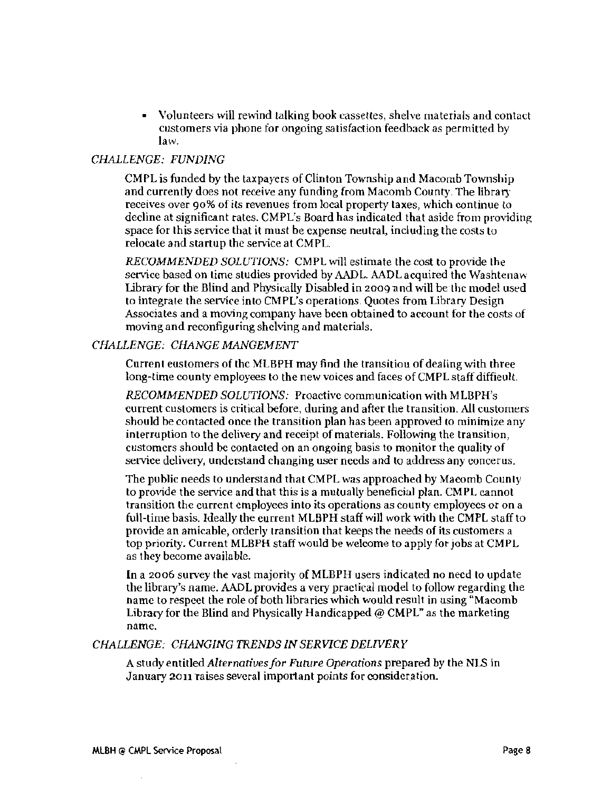Volunteers will rewind talking book cassettes, shelve materials and contact customers via phone for ongoing satisfaction feedback as permitted by law.

#### *CHALLENGE: FUNlJING*

CMPL is funded by the taxpayers of Clinton Township and Macomb Township and currently does not receive any funding from Macomb County. The library receives over 90% of its revenues from local property taxes, which continue to decline at significant rates. CMPL's Board has indicated that aside from providing space for this service that it must be expense neutral, including the costs to relocate and startup the service at CMPL.

*RECOMMENDED SOLUTIONS:* CMPL will estimate the cost to provide the service based on time studies provided by AADL. AADL acquired the Washtcnaw Library for the Blind and Physically Disabled in 2009 and will be the model used to integrate the service into CM PL's operations. Quotes from Library Design Associates and a moving company have been obtained to account for the costs of moving and reconfiguring shelving and materials.

#### *CHALLENGE: CHANGE MANGEMENT*

Current customers of thc MLBPH may find the transitiou of dealing with three long-time county employees to the new voices and faces of CMPL staff difficult.

*RECOMMENDED SOLUTIONS:* Proactive communication mth MLBPH's current customers is critical before, during and after the transition. Ali customers should be contacted once the transition plan has been approved to minimize any interruption to the delivery and receipt of materials. Following the transition, customers should be contacted on an ongoing basis to monitor the quality of service delivery, understand changing user needs and to address any eoncerus.

The public needs to understand that CMPL was approached by Macomb County to provide the service and that this is a mutually beneficial plan. CMPL cannot transition the current employees into its operations as county employees or on a full-time basis. Ideally the current MLBPH staff will work with the CMPL staff to provide an amicable, orderly transition that keeps the needs of its customers a top priority. Current MLBPH staff would be welcome to apply for jobs at CMPL as they become available.

**In** a 2006 survey the vast majority of MLBPH users indicated no need to update the library's name. AADL provides a very practical model to follow regarding the name to respect the role of both libraries which would result in using "Macomb Library for the Blind and Physically Handicapped  $@$  CMPL" as the marketing name.

#### *CHALLENGE: CHANGING TRENDS IN SERVICE DELWERY*

A *studyentitledAlternatiuesfor Future Operations* prepared by the NlS in January 2011 raises several important points for consideration.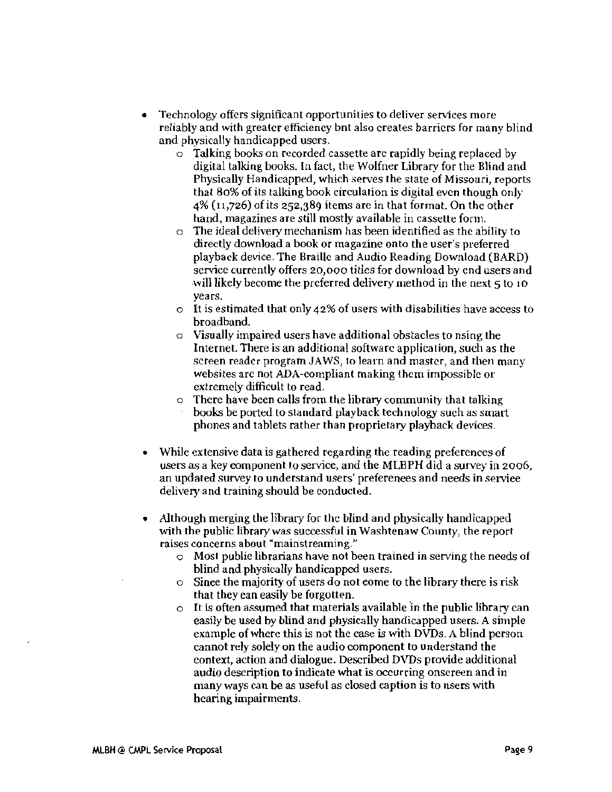- Technology offers significant opportunities to deliver services more reliably and with greater efficiency bnt also creates barriers for many blind and physically handicapped users.
	- $\circ$  Talking books on recorded cassette are rapidly being replaced by digital talking books. In fact, the Wolfner Library for the Blind and Physically Handicapped, which serves the state of Missouri, reports that 80% of its talking book circulation is digital even though only  $4\%$  (11,726) of its 252,389 items are in that format. On the other hand, magazines are still mostly available in cassette form.
	- $\circ$  The ideal delivery mechanism has been identified as the ability to directly download a book or magazine onto the user's preferred playback device. The Braille and Audio Reading Download (BARD) service currently offers 20,000 titles for download by end users and will likely become the preferred delivery method in the next 5 to 10 years.
	- $\circ$  It is estimated that only 42% of users with disabilities have access to broadband.
	- $\circ$  Visually impaired users have additional obstacles to nsing the Internet. There is an additional software application, such as the screen reader program JAWS, to learn and master, and then many websites arc not ADA-compliant making them impossible or extremely difficult to read.
	- $\circ$  There have been calls from the library community that talking books be ported to standard playback technology such as smart phones and tablets rather than proprietary playback devices.
- While extensive data is gathered regarding the reading preferences of users as a key eomponent to service, and the MLBPH did a survey in 2006, an updated survey to understand users' preferenees and needs in serviee delivery and training should be conducted.
- Although merging the library for the blind and physically handicapped with the public library was successful in Washtenaw County, the report raises concerns about "mainstreaming."
	- $\circ$  Most public librarians have not been trained in serving the needs of blind and physically handicapped users.
	- $\circ$  Sinee the majority of users do not eome to the library there is risk that they ean easily be forgotten.
	- $\circ$  It is often assumed that materials available in the public library can easily be used by blind and physically handicapped users. A simple example of where this is not the case is with DVDs. A blind person cannot rely solely on the audio component to understand the context, action and dialogue. Described DVDs provide additional audio description to indicate what is occurring onsereen and in many ways can be as useful as closed caption is to nsers with hearing impairments.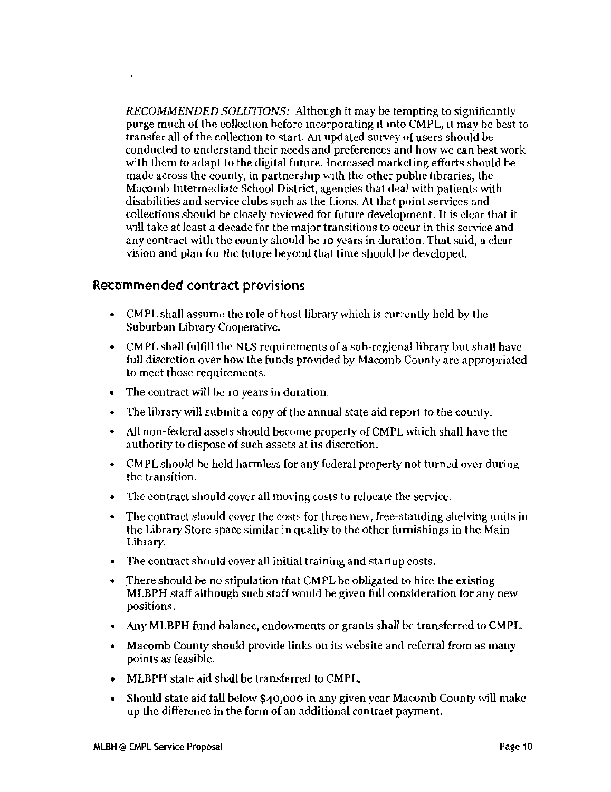*RECOMMENDED SOLUTIONS:* Although it may be tempting to significantly purge much of the eollcction before incorporating it into CMPL, it may be *best* to transfer all of the collection to start. An updated survey of users should be conducted to understand their needs and preferences and how we can best work with them to adapt to the digital future. Increased marketing efforts should be made across the county, in partnership with the other public libraries, the Macomb Intermediate School District, agencies that deal with patients with disabilities and service clubs such as the Lions. At that point services and collections should be closely reviewed for future development. It is clear that it will take at least a decade for the major transitions to occur in this service and any contract with thc county should be 10 years in duration. That said, a clear vision and plan for thc future beyond that time should he developed.

#### Recommended contract provisions

- CMPL shall assume the role of host library which is currently held by the Suburban Library Cooperative.
- CMPL shall fulfill the NLS requirements of a sub-regional library but shall have full discretion over how the funds provided by Macomb County arc appropriated to meet those requirements.
- The contract will be 10 years in duration.
- The library will submit a copy of the annual state aid report to the county.
- • All non-federal assets should become property of CMPL which shall have the authority to dispose of such assets at its discretion.
- CMPL should be held harmless for any federal property not turned over during the transition.
- The contract should cover all moving costs to relocate the service.
- The contract should cover the costs for three new, free-standing shelving units in the Library Store space similar in quality to the other furnishings in the Main Library.
- The contract should cover all initial training and startup costs.
- There should be no stipulation that CMPL be obligated to hire the existing MLBPH staff although such staff would be given full consideration for any new positions.
- Any MLBPH fund balance, endowments or grants shall be transferred to CMPL.
- Macomb County should provide links on its website and referral from as many points as feasible.
- MLBPH state aid shall be transferred to CMPL.
- Should state aid fall below \$40,000 in any given year Macomb County will make up the difference in the form of an additional contraet payment.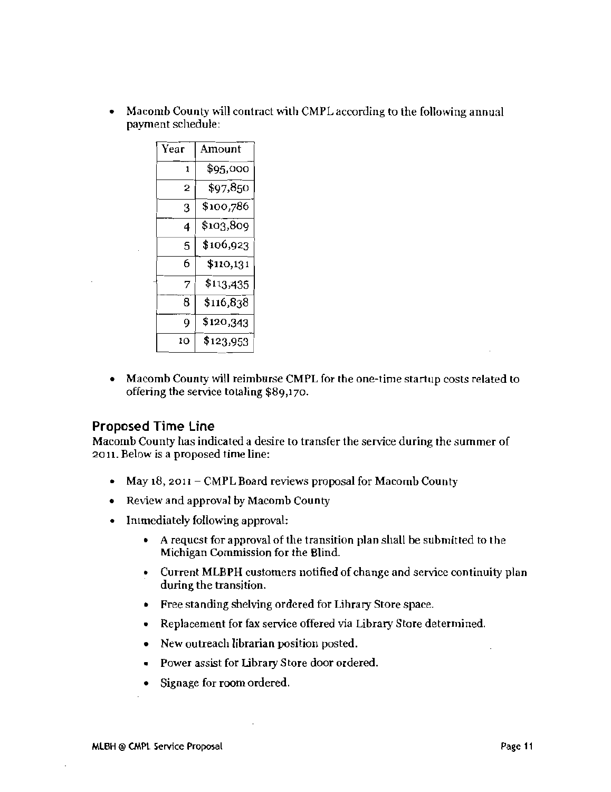• Macomb County will contract with CMPL according to the following annual payment schedule:

| Year | Amount    |
|------|-----------|
| 1    | \$95,000  |
| 2    | \$97,850  |
| 3    | \$100,786 |
| 4    | \$103,809 |
| 5    | \$106,923 |
| 6    | \$110,131 |
| 7    | \$113,435 |
| 8    | \$116,838 |
| 9    | \$120,343 |
| 10   | \$123,953 |

• Macomb County will reimburse CMPL for the one-time startup costs related to offering the service totaling \$89,170.

### Proposed Time Line

Macomb County has indicated a desire to transfer the service during the summer of 2011. Below is a proposed time line:

- May  $18$ , 2011 CMPL Board reviews proposal for Macomb County
- Review and approval by Macomb County
- • Immediately following approval:
	- • A requcst for approval of the transition plan shall be submitted to the Michigan Commission for the Blind.
	- Current MLBPH customers notified of change and service continuity plan during the transition.
	- • Free standing shelving ordered for Lihrary Store space.
	- Replacement for fax service offered via Library Store determined.
	- New outreach librarian position posted.
	- • Power assist for Library Store door ordered.
	- • Signage for room ordered.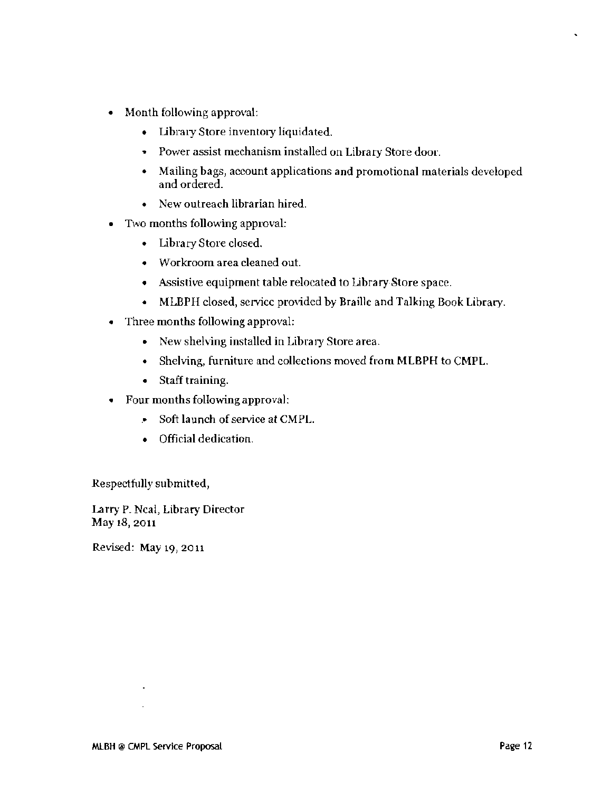- Month following approval:
	- Library Store inventory liquidated.
	- .. Power assist mechanism installed on Library Store door.
	- • Mailing bags, account applications and promotional materials developed and ordered.
	- New outreach librarian hired.
- • Two months following approval:
	- • Library Store closed.
	- Workroom area cleaned out.
	- Assistive equipment table relocated to Library Store space.
	- MLBPH closed, service provided by Braille and Talking Book Library.
- • Three months following approval:
	- New shelving installed in Library Store area.
	- Shelving, furniture and collections moved from MLBPH to CMPL.
	- Staff training.
- • Four months following approval:
	- .• Soft launch of service at CMPL.
	- Official dedication.

Respectfully submitted,

Larry P. Neal, Library Director May 18, 2011

Revised: May 19, 2011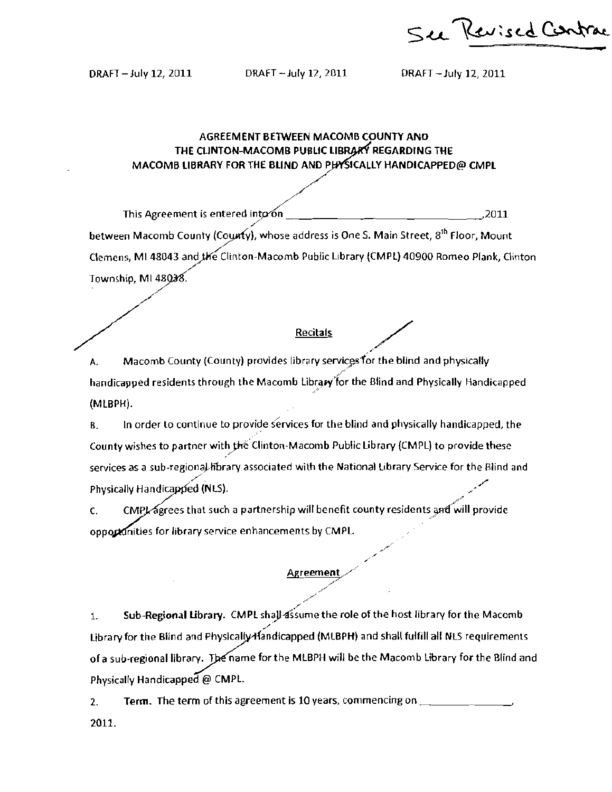See Kerised Contrac

• t

DRAFT - July 12, 2011 DRAFT -July 12, 2011 ORAFT -July 12, 2011

#### AGREEMENT BETWEEN MACOMB COUNTY AND THE CLINTON-MACOMB PUBLIC LIBRARY REGARDING THE MACOMB LIBRARY FOR THE BLIND AND PHYSICALLY HANDICAPPED@ CMPL

/ / This Agreement is entered into on  $\frac{1}{2}$  ,  $\frac{1}{2}$  ,  $\frac{1}{2}$  ,  $\frac{2011}{2}$ / between Macomb County (County), whose address is One S. Main Street, 8<sup>th</sup> Floor, Mount-Clemens, MI 48043 and the Clinton-Macomb Public Library (CMPL) 40900 Romeo Plank, Clinton Township, MI between Macomb County (County), whose address is One S. M.<br>Clemens, MI 48043 and the Clinton-Macomb Public Library (CM<br>Township, MI 48038.

 $A.$  Macomb County (County) provides library services for the blind and physically / handicapped residents through the Macomb Library for the Blind and Physically Handicapped (MLBPH).

 $B<sub>z</sub>$  In order to continue to provide services for the blind and physically handicapped, the County wishes to partner with the Clinton-Macomb Public Library (CMPL) to provide these services as a sub-regional fibrary associated with the National Library Service for the Blind and service for the Blind and  $\sim$ County wishes to partner with the Clinton-Macomb Public Library (CMPL) to provi<br>services as a sub-regional library associated with the National Library Service for the<br>Physically Handicapped (NLS).

 $\epsilon$ . CMPL agrees that such a partnership will benefit county residents and will provide opportunities for library service enhancements by CMPL.

#### Agreement

1. Sub-Regional Library. CMPL shall assume the role of the host library for the Macomb Library for the Blind and Physically-Handicapped (MLBPH) and shall fulfill all NLS requirements of a sub-regional library. The name for the MLBPH will be the Macomb Library for the Blind and Physically Handicapped @ CMPl.

2. Term. The term of this agreement is 10 years, commencing on \_\_\_\_\_\_\_\_\_\_\_\_\_\_\_\_\_ 2011.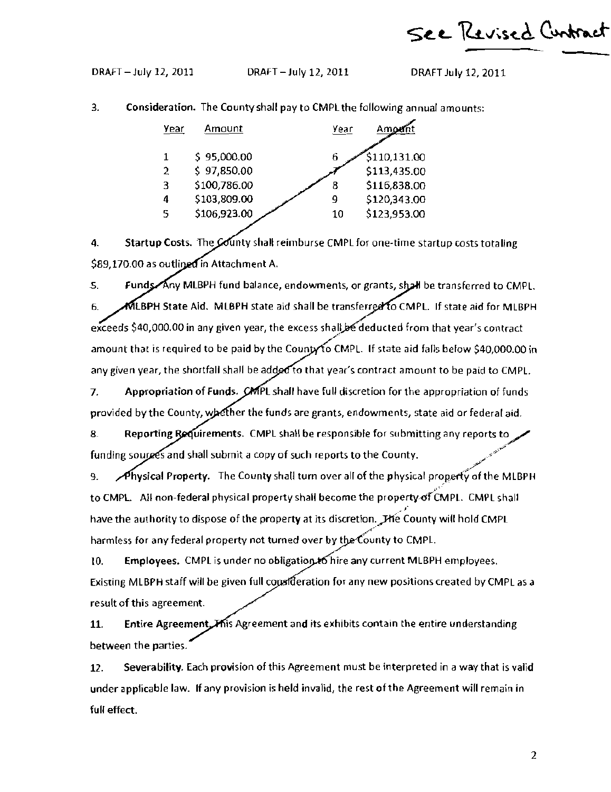See Revised Cuntract

DRAFT - July 12, 2011 DRAFT - July 12,2011 DRAFT July 12, 2011

3. Consideration. The County shall pay to CMPl the following annual amounts:

| Year          | Amount       | Year |              |
|---------------|--------------|------|--------------|
|               | \$95,000.00  | 6    | \$110,131.00 |
| $\mathcal{P}$ | \$97,850.00  |      | \$113,435.00 |
| 3             | \$100,786.00 | 8    | \$116,838.00 |
| 4             | \$103,809.00 | q    | \$120,343.00 |
| 5             | \$106,923.00 | 10   | \$123,953.00 |
|               |              |      |              |

4. Startup Costs. The County shall reimburse CMPL for one-time startup costs totaling \$89,170.00 as outlined in Attachment A.

6. MLBPH State Aid. MLBPH state aid shall be transferred to CMPL. If state aid for MLBPH 5. Funds Any MLBPH fund balance, endowments, or grants, shall be transferred to CMPL. exceeds \$40,000.00 in any given year, the excess shall be deducted from that year's contract amount that is required to be paid by the County to CMPL. If state aid falls below \$40,000.00 in any given year, the shortfall shall be added to that year's contract amount to be paid to CMPL.

7. Appropriation of Funds. CMPL shall have full discretion for the appropriation of funds provided by the County, whether the funds are grants, endowments, state aid or federal aid.

8. Reporting Requirements. CMPL shall be responsible for submitting any reports to funding sources and shall submit a copy of such reports to the County.

9. **Physical Property.** The County shall turn over all of the physical property of the MLBPH to CMPL. All non-federal physical property shall become the property-of CMPL. CMPL shall have the authority to dispose of the property at its discretion. The County will hold CMPL harmless for any federal property not turned over by the County to CMPL.

10. Employees. CMPL is under no obligation to hire any current MLBPH employees. Existing MLBPH staff will be given full constiteration for any new positions created by CMPL as a result of this agreement.

Entire Agreement Mis Agreement and its exhibits contain the entire understanding between the parties, 11.

12. Severability. Each provision of this Agreement must be interpreted in a way that is valid under applicable law. If any provision is held invalid, the rest ofthe Agreement will remain in full effect.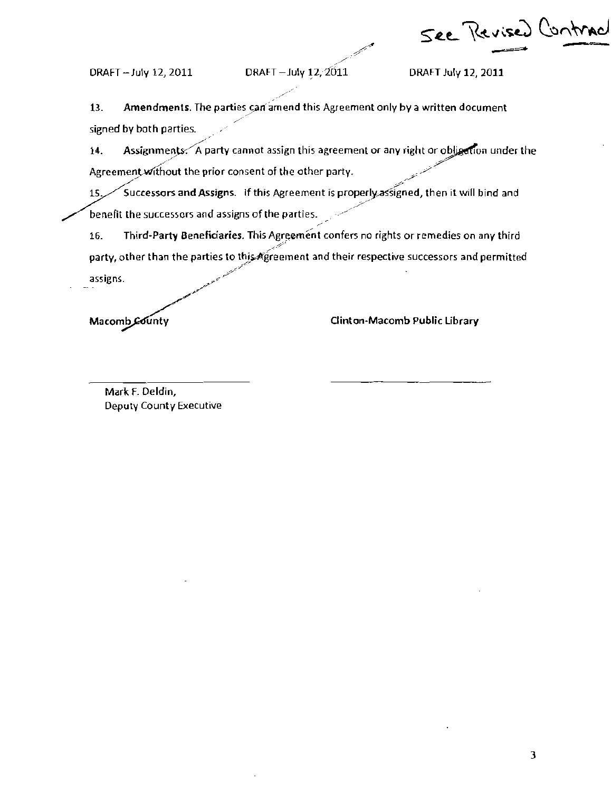See Revised Contrad

DRAFT - July 12, 2011 DRAFT - July 12,  $2011$  DRAFT July 12, 2011

13. Amendments. The parties can amend this Agreement only by a written document signed by both parties.

14. Assignments. A party cannot assign this agreement or any right or obligation under the Agreement without the prior consent of the other party. ľ .<br>.<br>.<br>.<br>.

15. Successors and Assigns. If this Agreement is properly assigned, then it will bind and benefit the successors and assigns of the parties.

16. Third-Party Beneficiaries. This Agreement confers no rights or remedies on any third party, other than the parties to this Agreement and their respective successors and permitted ,<br>assigns assigns. ;'

Macomb County **Macomb Public Library** 

Mark F. Deldin, Deputy County Executive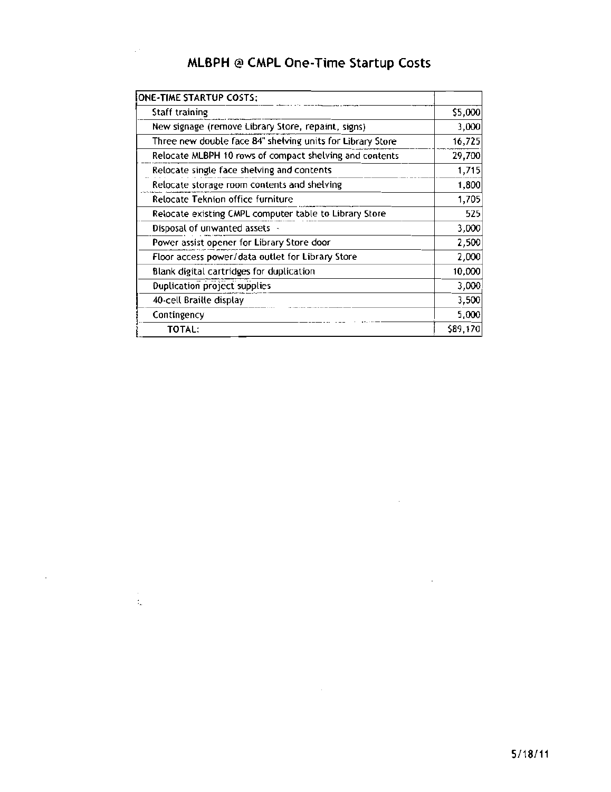# MLBPH @ CMPL One-Time Startup Costs

 $\hat{\mathcal{L}}^{(k)}$ 

 $\Delta \sim 10^4$ 

 $\frac{1}{2}$ 

| ONE-TIME STARTUP COSTS:                                    |          |
|------------------------------------------------------------|----------|
| Staff training                                             | \$5,000  |
| New signage (remove Library Store, repaint, signs)         | 3,000    |
| Three new double face 84" shelving units for Library Store | 16,725   |
| Relocate MLBPH 10 rows of compact shelving and contents    | 29,700   |
| Relocate single face shelving and contents                 | 1,715    |
| Relocate storage room contents and shelving                | 1,800    |
| Relocate Teknion office furniture                          | 1,705    |
| Relocate existing CMPL computer table to Library Store     | 525      |
| Disposal of unwanted assets -                              | 3,000    |
| Power assist opener for Library Store door                 | 2,500    |
| Floor access power/data outlet for Library Store           | 2,000    |
| Blank digital cartridges for duplication                   | 10,000   |
| Duplication project supplies                               | 3,000    |
| 40-cell Braille display                                    | 3,500    |
| Contingency                                                | 5,000    |
| TOTAL:                                                     | \$89,170 |

 $\sim 10^{11}$ 

 $\sim 10^{11}$  km  $^{-1}$ 

 $\sim$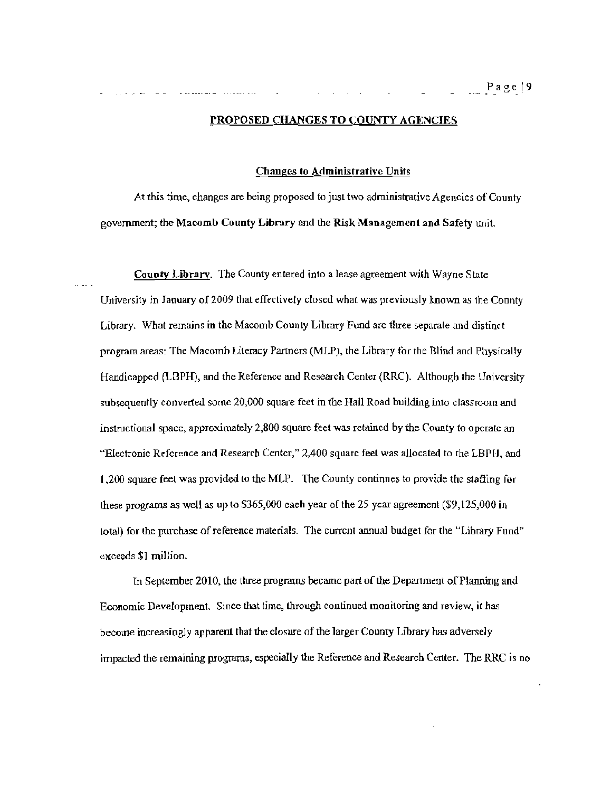#### PROPOSED CHANGES TO COUNTY AGENCIES

Changes to Administrative Units

At this time, ehanges are being proposed to just two administrative Agencies of County government; the Macomb County Library and the Risk Management and Safety unit.

County Library. The County entered inlo a lease agreement with Wayne State University in January of 2009 that effectively closed what was previously known as the Connty Library. What remains in the Macomb County Library Fund are three separate and distinct program areas: The Macomb Literacy Partners (MLP), the Library for the Blind and Physically Handicapped (LBPH), and the Reference and Research Center (RRC). Although the University subsequently converted some 20,000 square feet in the Hall Road building into classroom and instructional space, approximately  $2,800$  square feet was retained by the County to operate an "Electronic Reference and Research Center," 2,400 square feet was allocated to the LBPH, and 1,200 square feeL was provided to the MLP. The County continnes to provide the stafiing for these programs as well as up to \$365,000 each year of the 25 year agreement (\$9,125,000 in total) for the purchase of reference materials. The current annual budget for the "Library Fund" exceeds \$1 million.

In September 2010, the three programs became part of the Department of Planning and Economic Development. Since that time, through continued monitoring and review, it has become increasingly apparent that the closure of the larger County Library has adversely impacted the remaining programs, especially the Reference and Research Center. The RRC is no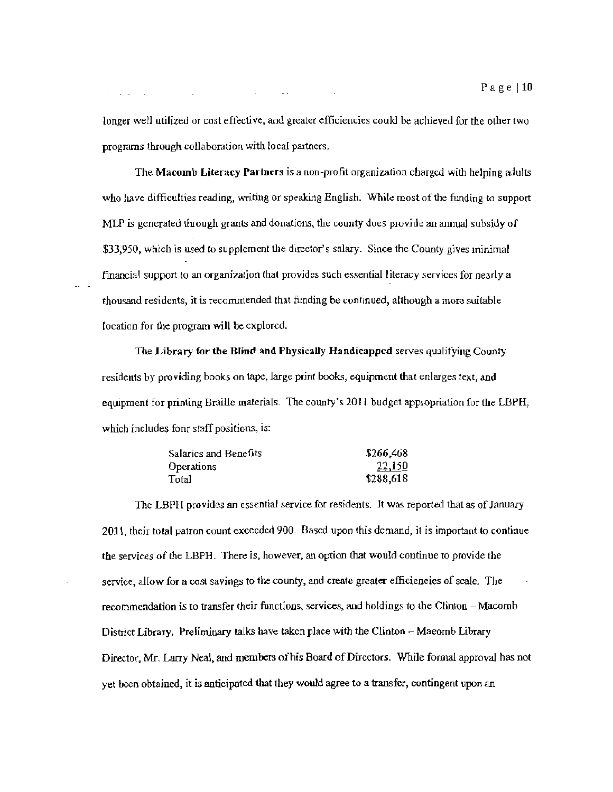longer well utilized or cost effective, and greater efficiencies could be achieved for the other two programs through collaboration with local partners.

The Macomb Literacy Partners is a non-profit organization charged with helping adults who have difficulties reading, writing or speaking English. White most of the funding to support MLP is generated through grants and donations, the county does provide an annual subsidy of \$33,950, which is used to supplement the director's salary. Since the County gives minimal fmancial support to an organizalion that provides such essential literacy services for nearly a thousand residents, it is recommended that funding be continued, although a more suitable (ocation for the program will be explored.

The Library for the Blind and Physically Handicapped serves qualifying County residents by providing books on tape, large print books, equipment that enlarges text, and equipment for printing Braille materials. The county's 2011 budget appropriation for the LBPH, which includes four staff positions, is:

| Salarics and Benefits | \$266,468 |
|-----------------------|-----------|
| <b>Operations</b>     | 22,150    |
| Total                 | \$288,618 |

The LBPH provides an essential service for residents. It was reported that as of January 2011, their toral patron count exceeded 900. Based upon this demand, it is important to continue the services of the LBPH. There is, however, an option that would continue to provide the service, allow for a cost savings to the county, and create grealer efficieneies of scale. The recommendation is to transfer their functions, services, and holdings to the Clinton - Macomb District Library. Preliminary ralks have taken place with the Clinton - Maeomb Library Director, Mr. Larry Neal, and members ofhis Board of Directors. While formal approval has not yet been obtained, it is anticipated that they would agree to a transfer, contingent upon an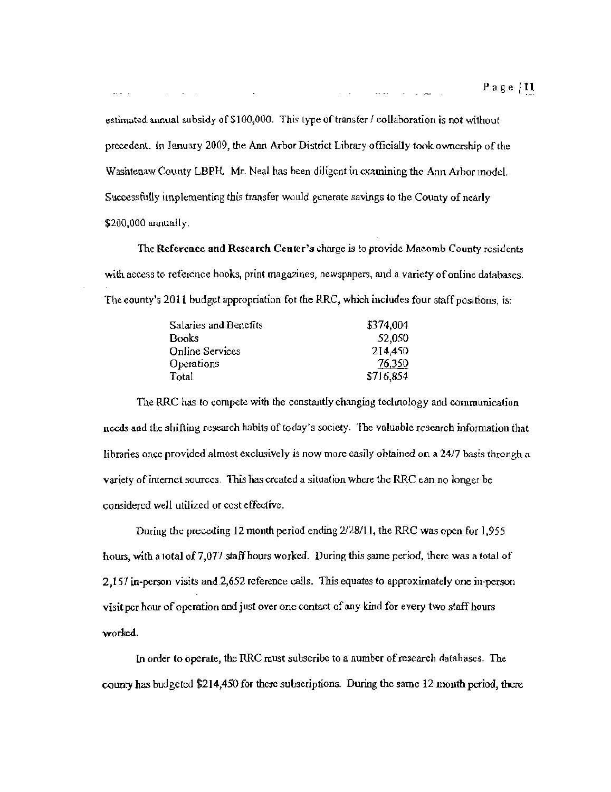estimated annual subsidy of  $$100,000$ . This type of transfer  $\ell$  collaboration is not without precedent. In January 2009, the Ann Arbor District Library officially took ownership of the Washtenaw County LBPH. Mr. *Neal* has been diligent in examining the A:m Arbor modd. Successfully implementing this transfer would generate savings to the County of nearly  $$200,000$  annually.

The Reference and Research Center's charge is to provide Macomb County residents with access to reference books, print magazines, newspapers, and a variety of online databases. The eounty's 2011 budget appropriation for the RRC, which includes four staff positions, is:

| Salaries and Benefits | \$374,004     |
|-----------------------|---------------|
| Books                 | 52,050        |
| Online Services       | 214,450       |
| Operations            | <u>76,350</u> |
| Total                 | \$716,854     |

The RRC has to compete with the constantly changing technology and communication needs and the shifting research habits of today's society. The valuable research information that libraries onee provided almost exclusively is now more easily obtained on a 2417 basis throngh a variety of internet sources. This has created a situation where the RRC ean no longer be considered well utilized or cost effedive.

During the preceding 12 month period ending  $2/28/11$ , the RRC was open for 1,955 hours, with a lolal of 7,077 staff hours worked. During this same period, there was a total of 2,157 in·pcrson visits and.2,652 reference calls. This equates to approximately one in-person visit per hour of operation and just over one contact of any kind for every two staff hours worked.

In order to operate, the RRC must subscribe to a number of research databases. The county has budgeted \$214,450 for these subscriptions. During the same 12 month period, there